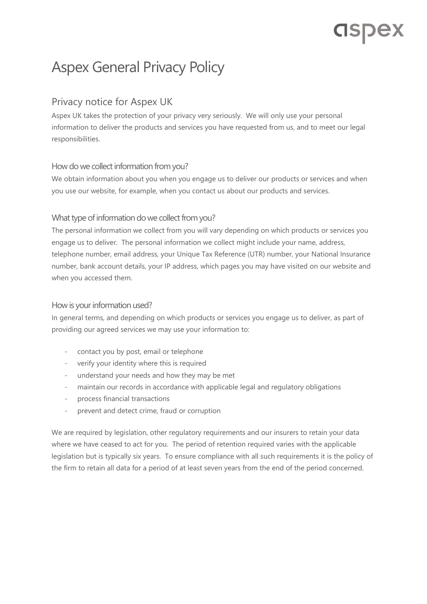# **GSPEX**

### Aspex General Privacy Policy

### Privacy notice for Aspex UK

Aspex UK takes the protection of your privacy very seriously. We will only use your personal information to deliver the products and services you have requested from us, and to meet our legal responsibilities.

#### How do we collect information from you?

We obtain information about you when you engage us to deliver our products or services and when you use our website, for example, when you contact us about our products and services.

#### What type of information do we collect from you?

The personal information we collect from you will vary depending on which products or services you engage us to deliver. The personal information we collect might include your name, address, telephone number, email address, your Unique Tax Reference (UTR) number, your National Insurance number, bank account details, your IP address, which pages you may have visited on our website and when you accessed them.

#### How is your information used?

In general terms, and depending on which products or services you engage us to deliver, as part of providing our agreed services we may use your information to:

- contact you by post, email or telephone
- verify your identity where this is required
- understand your needs and how they may be met
- maintain our records in accordance with applicable legal and regulatory obligations
- process financial transactions
- prevent and detect crime, fraud or corruption

We are required by legislation, other regulatory requirements and our insurers to retain your data where we have ceased to act for you. The period of retention required varies with the applicable legislation but is typically six years. To ensure compliance with all such requirements it is the policy of the firm to retain all data for a period of at least seven years from the end of the period concerned.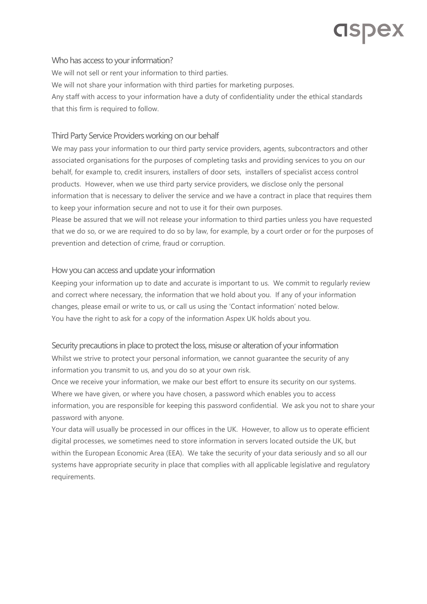# **CISPEX**

#### Who has access to your information?

We will not sell or rent your information to third parties. We will not share your information with third parties for marketing purposes. Any staff with access to your information have a duty of confidentiality under the ethical standards that this firm is required to follow.

#### Third Party Service Providers working on our behalf

We may pass your information to our third party service providers, agents, subcontractors and other associated organisations for the purposes of completing tasks and providing services to you on our behalf, for example to, credit insurers, installers of door sets, installers of specialist access control products. However, when we use third party service providers, we disclose only the personal information that is necessary to deliver the service and we have a contract in place that requires them to keep your information secure and not to use it for their own purposes.

Please be assured that we will not release your information to third parties unless you have requested that we do so, or we are required to do so by law, for example, by a court order or for the purposes of prevention and detection of crime, fraud or corruption.

#### How you can access and update your information

Keeping your information up to date and accurate is important to us. We commit to regularly review and correct where necessary, the information that we hold about you. If any of your information changes, please email or write to us, or call us using the 'Contact information' noted below. You have the right to ask for a copy of the information Aspex UK holds about you.

Security precautions in place to protect the loss, misuse or alteration of your information Whilst we strive to protect your personal information, we cannot guarantee the security of any information you transmit to us, and you do so at your own risk.

Once we receive your information, we make our best effort to ensure its security on our systems. Where we have given, or where you have chosen, a password which enables you to access information, you are responsible for keeping this password confidential. We ask you not to share your password with anyone.

Your data will usually be processed in our offices in the UK. However, to allow us to operate efficient digital processes, we sometimes need to store information in servers located outside the UK, but within the European Economic Area (EEA). We take the security of your data seriously and so all our systems have appropriate security in place that complies with all applicable legislative and regulatory requirements.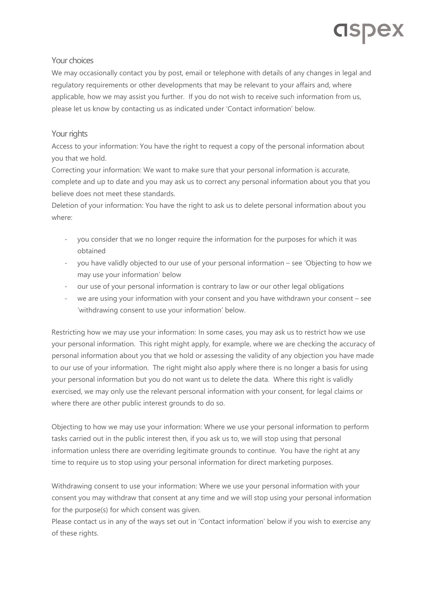### **CISPEX**

#### Your choices

We may occasionally contact you by post, email or telephone with details of any changes in legal and regulatory requirements or other developments that may be relevant to your affairs and, where applicable, how we may assist you further. If you do not wish to receive such information from us, please let us know by contacting us as indicated under 'Contact information' below.

#### Your rights

Access to your information: You have the right to request a copy of the personal information about you that we hold.

Correcting your information: We want to make sure that your personal information is accurate, complete and up to date and you may ask us to correct any personal information about you that you believe does not meet these standards.

Deletion of your information: You have the right to ask us to delete personal information about you where:

- you consider that we no longer require the information for the purposes for which it was obtained
- you have validly objected to our use of your personal information see 'Objecting to how we may use your information' below
- our use of your personal information is contrary to law or our other legal obligations
- we are using your information with your consent and you have withdrawn your consent see 'withdrawing consent to use your information' below.

Restricting how we may use your information: In some cases, you may ask us to restrict how we use your personal information. This right might apply, for example, where we are checking the accuracy of personal information about you that we hold or assessing the validity of any objection you have made to our use of your information. The right might also apply where there is no longer a basis for using your personal information but you do not want us to delete the data. Where this right is validly exercised, we may only use the relevant personal information with your consent, for legal claims or where there are other public interest grounds to do so.

Objecting to how we may use your information: Where we use your personal information to perform tasks carried out in the public interest then, if you ask us to, we will stop using that personal information unless there are overriding legitimate grounds to continue. You have the right at any time to require us to stop using your personal information for direct marketing purposes.

Withdrawing consent to use your information: Where we use your personal information with your consent you may withdraw that consent at any time and we will stop using your personal information for the purpose(s) for which consent was given.

Please contact us in any of the ways set out in 'Contact information' below if you wish to exercise any of these rights.